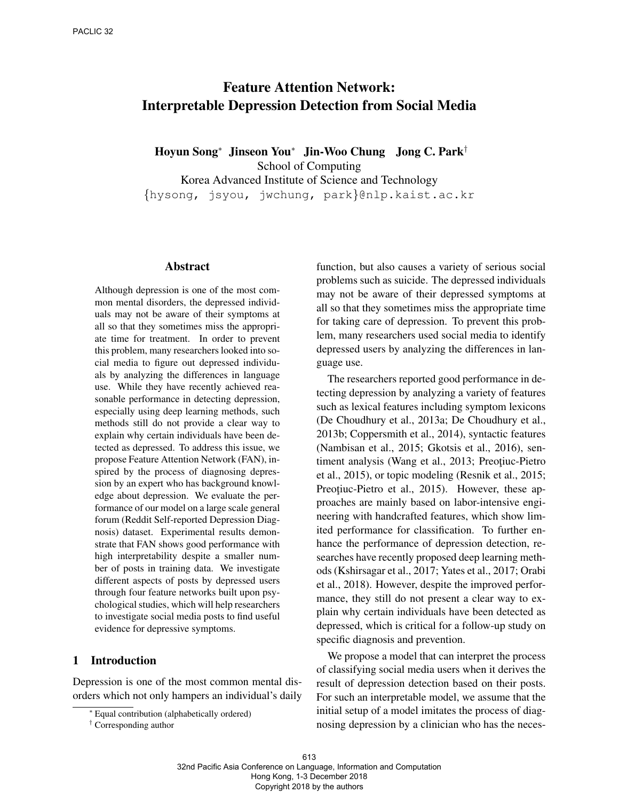# Feature Attention Network: Interpretable Depression Detection from Social Media

Hoyun Song<sup>∗</sup> Jinseon You<sup>∗</sup> Jin-Woo Chung Jong C. Park† School of Computing Korea Advanced Institute of Science and Technology {hysong, jsyou, jwchung, park}@nlp.kaist.ac.kr

# Abstract

Although depression is one of the most common mental disorders, the depressed individuals may not be aware of their symptoms at all so that they sometimes miss the appropriate time for treatment. In order to prevent this problem, many researchers looked into social media to figure out depressed individuals by analyzing the differences in language use. While they have recently achieved reasonable performance in detecting depression, especially using deep learning methods, such methods still do not provide a clear way to explain why certain individuals have been detected as depressed. To address this issue, we propose Feature Attention Network (FAN), inspired by the process of diagnosing depression by an expert who has background knowledge about depression. We evaluate the performance of our model on a large scale general forum (Reddit Self-reported Depression Diagnosis) dataset. Experimental results demonstrate that FAN shows good performance with high interpretability despite a smaller number of posts in training data. We investigate different aspects of posts by depressed users through four feature networks built upon psychological studies, which will help researchers to investigate social media posts to find useful evidence for depressive symptoms.

### 1 Introduction

Depression is one of the most common mental disorders which not only hampers an individual's daily

function, but also causes a variety of serious social problems such as suicide. The depressed individuals may not be aware of their depressed symptoms at all so that they sometimes miss the appropriate time for taking care of depression. To prevent this problem, many researchers used social media to identify depressed users by analyzing the differences in language use.

The researchers reported good performance in detecting depression by analyzing a variety of features such as lexical features including symptom lexicons (De Choudhury et al., 2013a; De Choudhury et al., 2013b; Coppersmith et al., 2014), syntactic features (Nambisan et al., 2015; Gkotsis et al., 2016), sentiment analysis (Wang et al., 2013; Preoțiuc-Pietro et al., 2015), or topic modeling (Resnik et al., 2015; Preotiuc-Pietro et al., 2015). However, these approaches are mainly based on labor-intensive engineering with handcrafted features, which show limited performance for classification. To further enhance the performance of depression detection, researches have recently proposed deep learning methods (Kshirsagar et al., 2017; Yates et al., 2017; Orabi et al., 2018). However, despite the improved performance, they still do not present a clear way to explain why certain individuals have been detected as depressed, which is critical for a follow-up study on specific diagnosis and prevention.

We propose a model that can interpret the process of classifying social media users when it derives the result of depression detection based on their posts. For such an interpretable model, we assume that the initial setup of a model imitates the process of diagnosing depression by a clinician who has the neces-

<sup>∗</sup> Equal contribution (alphabetically ordered)

<sup>†</sup> Corresponding author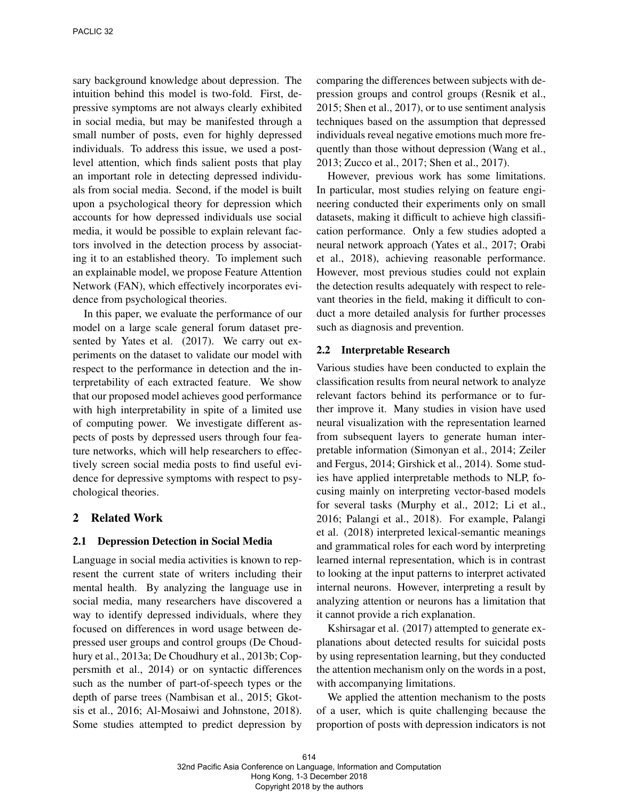sary background knowledge about depression. The intuition behind this model is two-fold. First, depressive symptoms are not always clearly exhibited in social media, but may be manifested through a small number of posts, even for highly depressed individuals. To address this issue, we used a postlevel attention, which finds salient posts that play an important role in detecting depressed individuals from social media. Second, if the model is built upon a psychological theory for depression which accounts for how depressed individuals use social media, it would be possible to explain relevant factors involved in the detection process by associating it to an established theory. To implement such an explainable model, we propose Feature Attention Network (FAN), which effectively incorporates evidence from psychological theories.

In this paper, we evaluate the performance of our model on a large scale general forum dataset presented by Yates et al. (2017). We carry out experiments on the dataset to validate our model with respect to the performance in detection and the interpretability of each extracted feature. We show that our proposed model achieves good performance with high interpretability in spite of a limited use of computing power. We investigate different aspects of posts by depressed users through four feature networks, which will help researchers to effectively screen social media posts to find useful evidence for depressive symptoms with respect to psychological theories.

# 2 Related Work

#### 2.1 Depression Detection in Social Media

Language in social media activities is known to represent the current state of writers including their mental health. By analyzing the language use in social media, many researchers have discovered a way to identify depressed individuals, where they focused on differences in word usage between depressed user groups and control groups (De Choudhury et al., 2013a; De Choudhury et al., 2013b; Coppersmith et al., 2014) or on syntactic differences such as the number of part-of-speech types or the depth of parse trees (Nambisan et al., 2015; Gkotsis et al., 2016; Al-Mosaiwi and Johnstone, 2018). Some studies attempted to predict depression by comparing the differences between subjects with depression groups and control groups (Resnik et al., 2015; Shen et al., 2017), or to use sentiment analysis techniques based on the assumption that depressed individuals reveal negative emotions much more frequently than those without depression (Wang et al., 2013; Zucco et al., 2017; Shen et al., 2017).

However, previous work has some limitations. In particular, most studies relying on feature engineering conducted their experiments only on small datasets, making it difficult to achieve high classification performance. Only a few studies adopted a neural network approach (Yates et al., 2017; Orabi et al., 2018), achieving reasonable performance. However, most previous studies could not explain the detection results adequately with respect to relevant theories in the field, making it difficult to conduct a more detailed analysis for further processes such as diagnosis and prevention.

# 2.2 Interpretable Research

Various studies have been conducted to explain the classification results from neural network to analyze relevant factors behind its performance or to further improve it. Many studies in vision have used neural visualization with the representation learned from subsequent layers to generate human interpretable information (Simonyan et al., 2014; Zeiler and Fergus, 2014; Girshick et al., 2014). Some studies have applied interpretable methods to NLP, focusing mainly on interpreting vector-based models for several tasks (Murphy et al., 2012; Li et al., 2016; Palangi et al., 2018). For example, Palangi et al. (2018) interpreted lexical-semantic meanings and grammatical roles for each word by interpreting learned internal representation, which is in contrast to looking at the input patterns to interpret activated internal neurons. However, interpreting a result by analyzing attention or neurons has a limitation that it cannot provide a rich explanation.

Kshirsagar et al. (2017) attempted to generate explanations about detected results for suicidal posts by using representation learning, but they conducted the attention mechanism only on the words in a post, with accompanying limitations.

We applied the attention mechanism to the posts of a user, which is quite challenging because the proportion of posts with depression indicators is not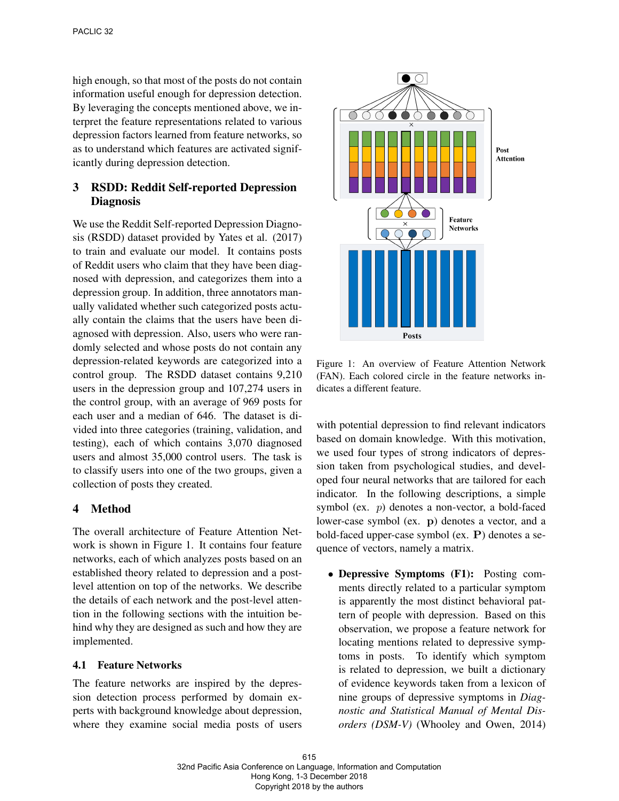PACLIC 32

high enough, so that most of the posts do not contain information useful enough for depression detection. By leveraging the concepts mentioned above, we interpret the feature representations related to various depression factors learned from feature networks, so as to understand which features are activated significantly during depression detection.

# 3 RSDD: Reddit Self-reported Depression Diagnosis

We use the Reddit Self-reported Depression Diagnosis (RSDD) dataset provided by Yates et al. (2017) to train and evaluate our model. It contains posts of Reddit users who claim that they have been diagnosed with depression, and categorizes them into a depression group. In addition, three annotators manually validated whether such categorized posts actually contain the claims that the users have been diagnosed with depression. Also, users who were randomly selected and whose posts do not contain any depression-related keywords are categorized into a control group. The RSDD dataset contains 9,210 users in the depression group and 107,274 users in the control group, with an average of 969 posts for each user and a median of 646. The dataset is divided into three categories (training, validation, and testing), each of which contains 3,070 diagnosed users and almost 35,000 control users. The task is to classify users into one of the two groups, given a collection of posts they created.

# 4 Method

The overall architecture of Feature Attention Network is shown in Figure 1. It contains four feature networks, each of which analyzes posts based on an established theory related to depression and a postlevel attention on top of the networks. We describe the details of each network and the post-level attention in the following sections with the intuition behind why they are designed as such and how they are implemented.

# 4.1 Feature Networks

The feature networks are inspired by the depression detection process performed by domain experts with background knowledge about depression, where they examine social media posts of users



Figure 1: An overview of Feature Attention Network (FAN). Each colored circle in the feature networks indicates a different feature.

with potential depression to find relevant indicators based on domain knowledge. With this motivation, we used four types of strong indicators of depression taken from psychological studies, and developed four neural networks that are tailored for each indicator. In the following descriptions, a simple symbol (ex. p) denotes a non-vector, a bold-faced lower-case symbol (ex. p) denotes a vector, and a bold-faced upper-case symbol (ex. P) denotes a sequence of vectors, namely a matrix.

• Depressive Symptoms (F1): Posting comments directly related to a particular symptom is apparently the most distinct behavioral pattern of people with depression. Based on this observation, we propose a feature network for locating mentions related to depressive symptoms in posts. To identify which symptom is related to depression, we built a dictionary of evidence keywords taken from a lexicon of nine groups of depressive symptoms in *Diagnostic and Statistical Manual of Mental Disorders (DSM-V)* (Whooley and Owen, 2014)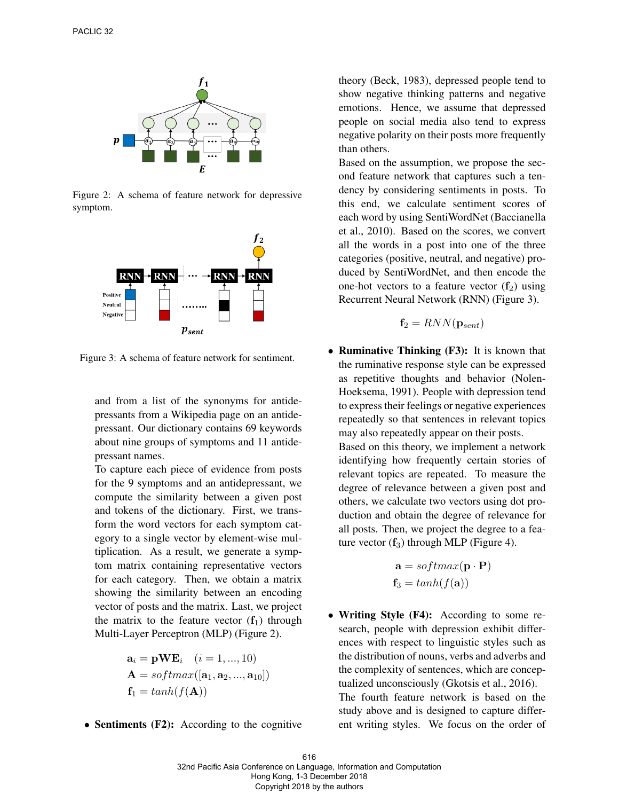

Figure 2: A schema of feature network for depressive symptom.



Figure 3: A schema of feature network for sentiment.

and from a list of the synonyms for antidepressants from a Wikipedia page on an antidepressant. Our dictionary contains 69 keywords about nine groups of symptoms and 11 antidepressant names.

To capture each piece of evidence from posts for the 9 symptoms and an antidepressant, we compute the similarity between a given post and tokens of the dictionary. First, we transform the word vectors for each symptom category to a single vector by element-wise multiplication. As a result, we generate a symptom matrix containing representative vectors for each category. Then, we obtain a matrix showing the similarity between an encoding vector of posts and the matrix. Last, we project the matrix to the feature vector  $(f_1)$  through Multi-Layer Perceptron (MLP) (Figure 2).

$$
\mathbf{a}_{i} = \mathbf{p}\mathbf{W}\mathbf{E}_{i} \quad (i = 1, ..., 10)
$$

$$
\mathbf{A} = softmax([\mathbf{a}_{1}, \mathbf{a}_{2}, ..., \mathbf{a}_{10}])
$$

$$
\mathbf{f}_{1} = tanh(f(\mathbf{A}))
$$

• Sentiments (F2): According to the cognitive

theory (Beck, 1983), depressed people tend to show negative thinking patterns and negative emotions. Hence, we assume that depressed people on social media also tend to express negative polarity on their posts more frequently than others.

Based on the assumption, we propose the second feature network that captures such a tendency by considering sentiments in posts. To this end, we calculate sentiment scores of each word by using SentiWordNet (Baccianella et al., 2010). Based on the scores, we convert all the words in a post into one of the three categories (positive, neutral, and negative) produced by SentiWordNet, and then encode the one-hot vectors to a feature vector  $(f_2)$  using Recurrent Neural Network (RNN) (Figure 3).

$$
\mathbf{f}_2 = RNN(\mathbf{p}_{sent})
$$

• Ruminative Thinking (F3): It is known that the ruminative response style can be expressed as repetitive thoughts and behavior (Nolen-Hoeksema, 1991). People with depression tend to express their feelings or negative experiences repeatedly so that sentences in relevant topics may also repeatedly appear on their posts. Based on this theory, we implement a network identifying how frequently certain stories of relevant topics are repeated. To measure the degree of relevance between a given post and others, we calculate two vectors using dot production and obtain the degree of relevance for all posts. Then, we project the degree to a feature vector  $(f_3)$  through MLP (Figure 4).

$$
\mathbf{a} = softmax(\mathbf{p} \cdot \mathbf{P})
$$

$$
\mathbf{f}_3 = tanh(f(\mathbf{a}))
$$

• Writing Style (F4): According to some research, people with depression exhibit differences with respect to linguistic styles such as the distribution of nouns, verbs and adverbs and the complexity of sentences, which are conceptualized unconsciously (Gkotsis et al., 2016). The fourth feature network is based on the study above and is designed to capture different writing styles. We focus on the order of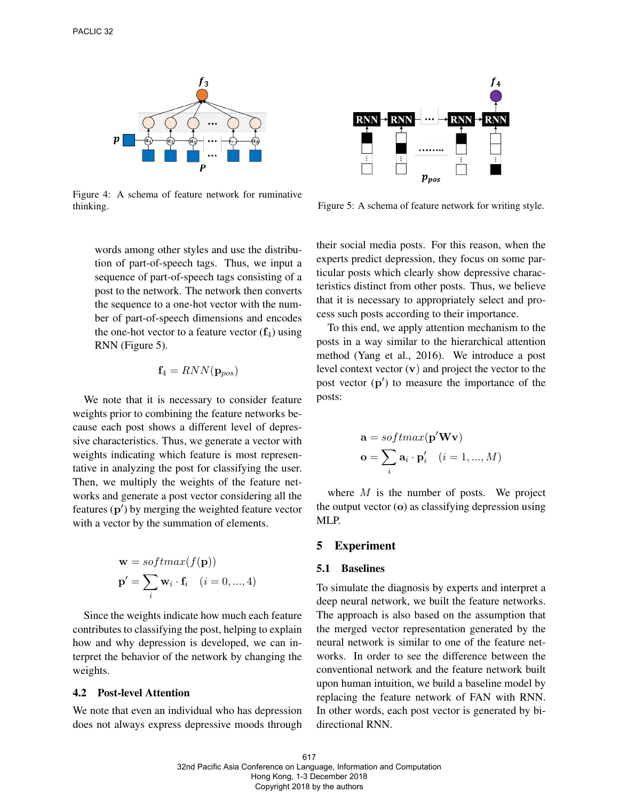

Figure 4: A schema of feature network for ruminative thinking.

words among other styles and use the distribution of part-of-speech tags. Thus, we input a sequence of part-of-speech tags consisting of a post to the network. The network then converts the sequence to a one-hot vector with the number of part-of-speech dimensions and encodes the one-hot vector to a feature vector  $(f_4)$  using RNN (Figure 5).

$$
\mathbf{f}_4 = RNN(\mathbf{p}_{pos})
$$

We note that it is necessary to consider feature weights prior to combining the feature networks because each post shows a different level of depressive characteristics. Thus, we generate a vector with weights indicating which feature is most representative in analyzing the post for classifying the user. Then, we multiply the weights of the feature networks and generate a post vector considering all the features (p') by merging the weighted feature vector with a vector by the summation of elements.

$$
\mathbf{w} = softmax(f(\mathbf{p}))
$$
  

$$
\mathbf{p}' = \sum_{i} \mathbf{w}_i \cdot \mathbf{f}_i \quad (i = 0, ..., 4)
$$

Since the weights indicate how much each feature contributes to classifying the post, helping to explain how and why depression is developed, we can interpret the behavior of the network by changing the weights.

#### 4.2 Post-level Attention

We note that even an individual who has depression does not always express depressive moods through



Figure 5: A schema of feature network for writing style.

their social media posts. For this reason, when the experts predict depression, they focus on some particular posts which clearly show depressive characteristics distinct from other posts. Thus, we believe that it is necessary to appropriately select and process such posts according to their importance.

To this end, we apply attention mechanism to the posts in a way similar to the hierarchical attention method (Yang et al., 2016). We introduce a post level context vector  $(v)$  and project the vector to the post vector  $(p')$  to measure the importance of the posts:

$$
\mathbf{a} = softmax(\mathbf{p}'\mathbf{W}\mathbf{v})
$$

$$
\mathbf{o} = \sum_{i} \mathbf{a}_i \cdot \mathbf{p}'_i \quad (i = 1, ..., M)
$$

where  $M$  is the number of posts. We project the output vector (o) as classifying depression using MLP.

#### 5 Experiment

#### 5.1 Baselines

To simulate the diagnosis by experts and interpret a deep neural network, we built the feature networks. The approach is also based on the assumption that the merged vector representation generated by the neural network is similar to one of the feature networks. In order to see the difference between the conventional network and the feature network built upon human intuition, we build a baseline model by replacing the feature network of FAN with RNN. In other words, each post vector is generated by bidirectional RNN.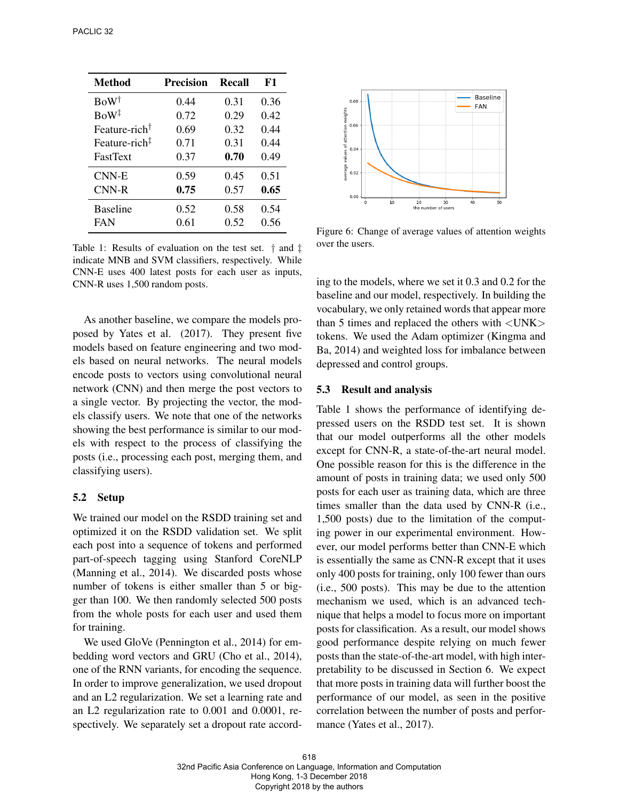| <b>Method</b>                                 | <b>Precision</b> | Recall | F1   |
|-----------------------------------------------|------------------|--------|------|
| $BoW^{\dagger}$                               | 0.44             | 0.31   | 0.36 |
| $BoW^{\ddagger}$                              | 0.72             | 0.29   | 0.42 |
| Feature-rich <sup>†</sup>                     | 0.69             | 0.32   | 0.44 |
| Feature-rich <sup><math>\ddagger</math></sup> | 0.71             | 0.31   | 0.44 |
| <b>FastText</b>                               | 0.37             | 0.70   | 0.49 |
| CNN-E                                         | 0.59             | 0.45   | 0.51 |
| $CNN-R$                                       | 0.75             | 0.57   | 0.65 |
| <b>Baseline</b>                               | 0.52             | 0.58   | 0.54 |
| FAN                                           | 0.61             | 0.52   | 0.56 |

Table 1: Results of evaluation on the test set. † and ‡ indicate MNB and SVM classifiers, respectively. While CNN-E uses 400 latest posts for each user as inputs, CNN-R uses 1,500 random posts.

As another baseline, we compare the models proposed by Yates et al. (2017). They present five models based on feature engineering and two models based on neural networks. The neural models encode posts to vectors using convolutional neural network (CNN) and then merge the post vectors to a single vector. By projecting the vector, the models classify users. We note that one of the networks showing the best performance is similar to our models with respect to the process of classifying the posts (i.e., processing each post, merging them, and classifying users).

# 5.2 Setup

We trained our model on the RSDD training set and optimized it on the RSDD validation set. We split each post into a sequence of tokens and performed part-of-speech tagging using Stanford CoreNLP (Manning et al., 2014). We discarded posts whose number of tokens is either smaller than 5 or bigger than 100. We then randomly selected 500 posts from the whole posts for each user and used them for training.

We used GloVe (Pennington et al., 2014) for embedding word vectors and GRU (Cho et al., 2014), one of the RNN variants, for encoding the sequence. In order to improve generalization, we used dropout and an L2 regularization. We set a learning rate and an L2 regularization rate to 0.001 and 0.0001, respectively. We separately set a dropout rate accord-



Figure 6: Change of average values of attention weights over the users.

ing to the models, where we set it 0.3 and 0.2 for the baseline and our model, respectively. In building the vocabulary, we only retained words that appear more than 5 times and replaced the others with <UNK> tokens. We used the Adam optimizer (Kingma and Ba, 2014) and weighted loss for imbalance between depressed and control groups.

# 5.3 Result and analysis

Table 1 shows the performance of identifying depressed users on the RSDD test set. It is shown that our model outperforms all the other models except for CNN-R, a state-of-the-art neural model. One possible reason for this is the difference in the amount of posts in training data; we used only 500 posts for each user as training data, which are three times smaller than the data used by CNN-R (i.e., 1,500 posts) due to the limitation of the computing power in our experimental environment. However, our model performs better than CNN-E which is essentially the same as CNN-R except that it uses only 400 posts for training, only 100 fewer than ours (i.e., 500 posts). This may be due to the attention mechanism we used, which is an advanced technique that helps a model to focus more on important posts for classification. As a result, our model shows good performance despite relying on much fewer posts than the state-of-the-art model, with high interpretability to be discussed in Section 6. We expect that more posts in training data will further boost the performance of our model, as seen in the positive correlation between the number of posts and performance (Yates et al., 2017).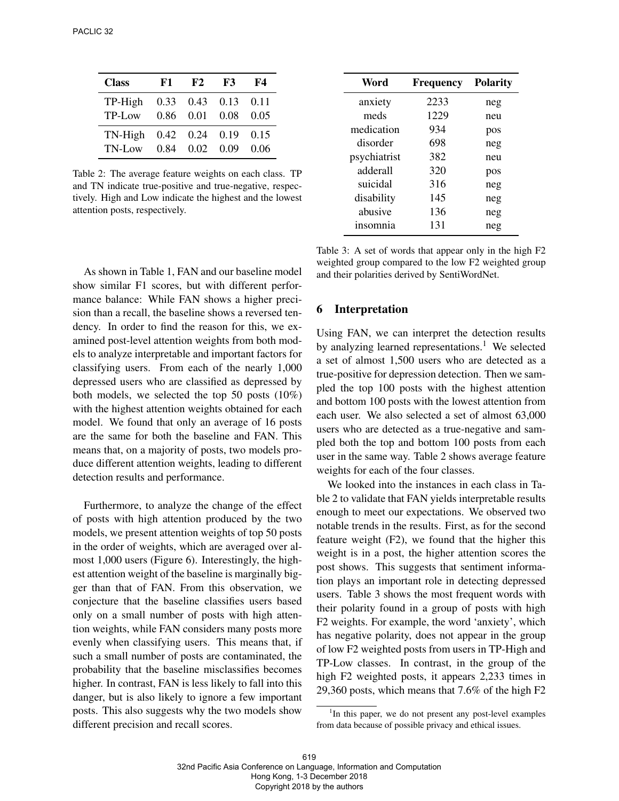| <b>Class</b> | F1 | F2                   | F3 | F4   |
|--------------|----|----------------------|----|------|
| TP-High      |    | $0.33$ $0.43$ $0.13$ |    | 0.11 |
| TP-Low       |    | 0.86 0.01 0.08       |    | 0.05 |
| TN-High      |    | $0.42$ $0.24$ $0.19$ |    | 0.15 |
| TN-Low       |    | $0.84$ $0.02$ $0.09$ |    | 0.06 |

Table 2: The average feature weights on each class. TP and TN indicate true-positive and true-negative, respectively. High and Low indicate the highest and the lowest attention posts, respectively.

As shown in Table 1, FAN and our baseline model show similar F1 scores, but with different performance balance: While FAN shows a higher precision than a recall, the baseline shows a reversed tendency. In order to find the reason for this, we examined post-level attention weights from both models to analyze interpretable and important factors for classifying users. From each of the nearly 1,000 depressed users who are classified as depressed by both models, we selected the top 50 posts (10%) with the highest attention weights obtained for each model. We found that only an average of 16 posts are the same for both the baseline and FAN. This means that, on a majority of posts, two models produce different attention weights, leading to different detection results and performance.

Furthermore, to analyze the change of the effect of posts with high attention produced by the two models, we present attention weights of top 50 posts in the order of weights, which are averaged over almost 1,000 users (Figure 6). Interestingly, the highest attention weight of the baseline is marginally bigger than that of FAN. From this observation, we conjecture that the baseline classifies users based only on a small number of posts with high attention weights, while FAN considers many posts more evenly when classifying users. This means that, if such a small number of posts are contaminated, the probability that the baseline misclassifies becomes higher. In contrast, FAN is less likely to fall into this danger, but is also likely to ignore a few important posts. This also suggests why the two models show different precision and recall scores.

| Word         | <b>Frequency</b> | <b>Polarity</b> |
|--------------|------------------|-----------------|
| anxiety      | 2233             | neg             |
| meds         | 1229             | neu             |
| medication   | 934              | pos             |
| disorder     | 698              | neg             |
| psychiatrist | 382              | neu             |
| adderall     | 320              | pos             |
| suicidal     | 316              | neg             |
| disability   | 145              | neg             |
| abusive      | 136              | neg             |
| insomnia     | 131              | neg             |

Table 3: A set of words that appear only in the high F2 weighted group compared to the low F2 weighted group and their polarities derived by SentiWordNet.

# 6 Interpretation

Using FAN, we can interpret the detection results by analyzing learned representations.<sup>1</sup> We selected a set of almost 1,500 users who are detected as a true-positive for depression detection. Then we sampled the top 100 posts with the highest attention and bottom 100 posts with the lowest attention from each user. We also selected a set of almost 63,000 users who are detected as a true-negative and sampled both the top and bottom 100 posts from each user in the same way. Table 2 shows average feature weights for each of the four classes.

We looked into the instances in each class in Table 2 to validate that FAN yields interpretable results enough to meet our expectations. We observed two notable trends in the results. First, as for the second feature weight (F2), we found that the higher this weight is in a post, the higher attention scores the post shows. This suggests that sentiment information plays an important role in detecting depressed users. Table 3 shows the most frequent words with their polarity found in a group of posts with high F2 weights. For example, the word 'anxiety', which has negative polarity, does not appear in the group of low F2 weighted posts from users in TP-High and TP-Low classes. In contrast, in the group of the high F2 weighted posts, it appears 2,233 times in 29,360 posts, which means that 7.6% of the high F2

<sup>&</sup>lt;sup>1</sup>In this paper, we do not present any post-level examples from data because of possible privacy and ethical issues.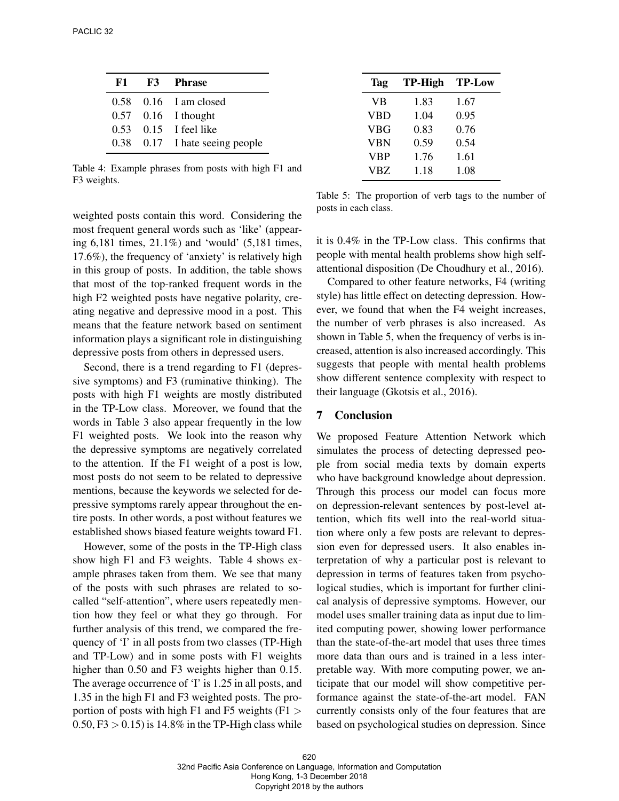| F1 = | <b>F3</b> Phrase               |
|------|--------------------------------|
|      | $0.58$ $0.16$ I am closed      |
|      | $0.57$ 0.16 I thought          |
|      | $0.53$ $0.15$ I feel like      |
|      | 0.38 0.17 I hate seeing people |

Table 4: Example phrases from posts with high F1 and F3 weights.

| Tag        | <b>TP-High</b> | <b>TP-Low</b> |
|------------|----------------|---------------|
| VB         | 1.83           | 1.67          |
| <b>VBD</b> | 1.04           | 0.95          |
| <b>VBG</b> | 0.83           | 0.76          |
| <b>VBN</b> | 0.59           | 0.54          |
| <b>VBP</b> | 1.76           | 1.61          |
| <b>VBZ</b> | 1.18           | 1.08          |

Table 5: The proportion of verb tags to the number of posts in each class.

weighted posts contain this word. Considering the most frequent general words such as 'like' (appearing 6,181 times, 21.1%) and 'would' (5,181 times, 17.6%), the frequency of 'anxiety' is relatively high in this group of posts. In addition, the table shows that most of the top-ranked frequent words in the high F2 weighted posts have negative polarity, creating negative and depressive mood in a post. This means that the feature network based on sentiment information plays a significant role in distinguishing depressive posts from others in depressed users.

Second, there is a trend regarding to F1 (depressive symptoms) and F3 (ruminative thinking). The posts with high F1 weights are mostly distributed in the TP-Low class. Moreover, we found that the words in Table 3 also appear frequently in the low F1 weighted posts. We look into the reason why the depressive symptoms are negatively correlated to the attention. If the F1 weight of a post is low, most posts do not seem to be related to depressive mentions, because the keywords we selected for depressive symptoms rarely appear throughout the entire posts. In other words, a post without features we established shows biased feature weights toward F1.

However, some of the posts in the TP-High class show high F1 and F3 weights. Table 4 shows example phrases taken from them. We see that many of the posts with such phrases are related to socalled "self-attention", where users repeatedly mention how they feel or what they go through. For further analysis of this trend, we compared the frequency of 'I' in all posts from two classes (TP-High and TP-Low) and in some posts with F1 weights higher than 0.50 and F3 weights higher than 0.15. The average occurrence of 'I' is 1.25 in all posts, and 1.35 in the high F1 and F3 weighted posts. The proportion of posts with high F1 and F5 weights (F1  $>$  $0.50$ , F3  $> 0.15$ ) is 14.8% in the TP-High class while

it is 0.4% in the TP-Low class. This confirms that people with mental health problems show high selfattentional disposition (De Choudhury et al., 2016).

Compared to other feature networks, F4 (writing style) has little effect on detecting depression. However, we found that when the F4 weight increases, the number of verb phrases is also increased. As shown in Table 5, when the frequency of verbs is increased, attention is also increased accordingly. This suggests that people with mental health problems show different sentence complexity with respect to their language (Gkotsis et al., 2016).

# 7 Conclusion

We proposed Feature Attention Network which simulates the process of detecting depressed people from social media texts by domain experts who have background knowledge about depression. Through this process our model can focus more on depression-relevant sentences by post-level attention, which fits well into the real-world situation where only a few posts are relevant to depression even for depressed users. It also enables interpretation of why a particular post is relevant to depression in terms of features taken from psychological studies, which is important for further clinical analysis of depressive symptoms. However, our model uses smaller training data as input due to limited computing power, showing lower performance than the state-of-the-art model that uses three times more data than ours and is trained in a less interpretable way. With more computing power, we anticipate that our model will show competitive performance against the state-of-the-art model. FAN currently consists only of the four features that are based on psychological studies on depression. Since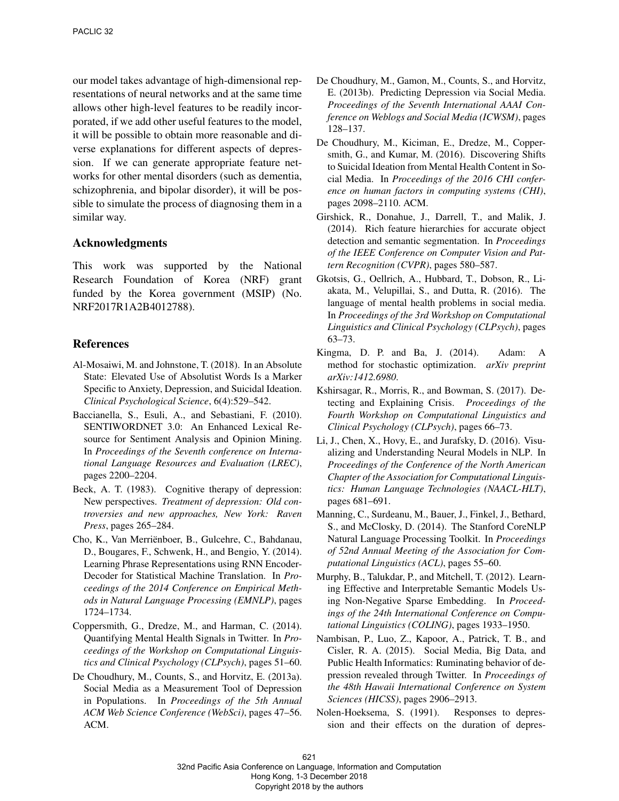our model takes advantage of high-dimensional representations of neural networks and at the same time allows other high-level features to be readily incorporated, if we add other useful features to the model, it will be possible to obtain more reasonable and diverse explanations for different aspects of depression. If we can generate appropriate feature networks for other mental disorders (such as dementia, schizophrenia, and bipolar disorder), it will be possible to simulate the process of diagnosing them in a similar way.

#### Acknowledgments

This work was supported by the National Research Foundation of Korea (NRF) grant funded by the Korea government (MSIP) (No. NRF2017R1A2B4012788).

#### References

- Al-Mosaiwi, M. and Johnstone, T. (2018). In an Absolute State: Elevated Use of Absolutist Words Is a Marker Specific to Anxiety, Depression, and Suicidal Ideation. *Clinical Psychological Science*, 6(4):529–542.
- Baccianella, S., Esuli, A., and Sebastiani, F. (2010). SENTIWORDNET 3.0: An Enhanced Lexical Resource for Sentiment Analysis and Opinion Mining. In *Proceedings of the Seventh conference on International Language Resources and Evaluation (LREC)*, pages 2200–2204.
- Beck, A. T. (1983). Cognitive therapy of depression: New perspectives. *Treatment of depression: Old controversies and new approaches, New York: Raven Press*, pages 265–284.
- Cho, K., Van Merrienboer, B., Gulcehre, C., Bahdanau, ¨ D., Bougares, F., Schwenk, H., and Bengio, Y. (2014). Learning Phrase Representations using RNN Encoder-Decoder for Statistical Machine Translation. In *Proceedings of the 2014 Conference on Empirical Methods in Natural Language Processing (EMNLP)*, pages 1724–1734.
- Coppersmith, G., Dredze, M., and Harman, C. (2014). Quantifying Mental Health Signals in Twitter. In *Proceedings of the Workshop on Computational Linguistics and Clinical Psychology (CLPsych)*, pages 51–60.
- De Choudhury, M., Counts, S., and Horvitz, E. (2013a). Social Media as a Measurement Tool of Depression in Populations. In *Proceedings of the 5th Annual ACM Web Science Conference (WebSci)*, pages 47–56. ACM.
- De Choudhury, M., Gamon, M., Counts, S., and Horvitz, E. (2013b). Predicting Depression via Social Media. *Proceedings of the Seventh International AAAI Conference on Weblogs and Social Media (ICWSM)*, pages 128–137.
- De Choudhury, M., Kiciman, E., Dredze, M., Coppersmith, G., and Kumar, M. (2016). Discovering Shifts to Suicidal Ideation from Mental Health Content in Social Media. In *Proceedings of the 2016 CHI conference on human factors in computing systems (CHI)*, pages 2098–2110. ACM.
- Girshick, R., Donahue, J., Darrell, T., and Malik, J. (2014). Rich feature hierarchies for accurate object detection and semantic segmentation. In *Proceedings of the IEEE Conference on Computer Vision and Pattern Recognition (CVPR)*, pages 580–587.
- Gkotsis, G., Oellrich, A., Hubbard, T., Dobson, R., Liakata, M., Velupillai, S., and Dutta, R. (2016). The language of mental health problems in social media. In *Proceedings of the 3rd Workshop on Computational Linguistics and Clinical Psychology (CLPsych)*, pages 63–73.
- Kingma, D. P. and Ba, J. (2014). Adam: A method for stochastic optimization. *arXiv preprint arXiv:1412.6980*.
- Kshirsagar, R., Morris, R., and Bowman, S. (2017). Detecting and Explaining Crisis. *Proceedings of the Fourth Workshop on Computational Linguistics and Clinical Psychology (CLPsych)*, pages 66–73.
- Li, J., Chen, X., Hovy, E., and Jurafsky, D. (2016). Visualizing and Understanding Neural Models in NLP. In *Proceedings of the Conference of the North American Chapter of the Association for Computational Linguistics: Human Language Technologies (NAACL-HLT)*, pages 681–691.
- Manning, C., Surdeanu, M., Bauer, J., Finkel, J., Bethard, S., and McClosky, D. (2014). The Stanford CoreNLP Natural Language Processing Toolkit. In *Proceedings of 52nd Annual Meeting of the Association for Computational Linguistics (ACL)*, pages 55–60.
- Murphy, B., Talukdar, P., and Mitchell, T. (2012). Learning Effective and Interpretable Semantic Models Using Non-Negative Sparse Embedding. In *Proceedings of the 24th International Conference on Computational Linguistics (COLING)*, pages 1933–1950.
- Nambisan, P., Luo, Z., Kapoor, A., Patrick, T. B., and Cisler, R. A. (2015). Social Media, Big Data, and Public Health Informatics: Ruminating behavior of depression revealed through Twitter. In *Proceedings of the 48th Hawaii International Conference on System Sciences (HICSS)*, pages 2906–2913.
- Nolen-Hoeksema, S. (1991). Responses to depression and their effects on the duration of depres-